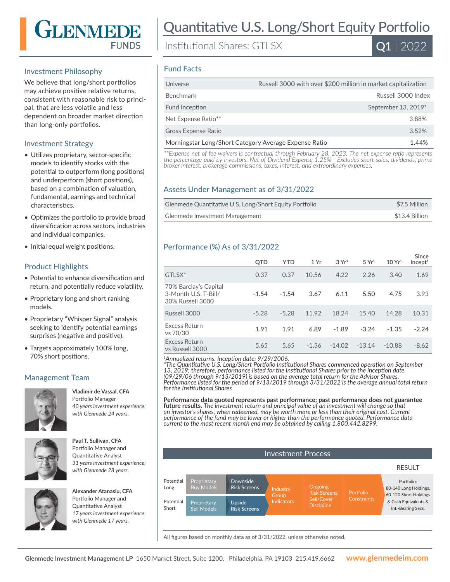# GLENMEDE **FUNDS**

# Investment Philosophy

We believe that long/short portfolios may achieve positive relative returns, consistent with reasonable risk to principal, that are less volatile and less dependent on broader market direction than long-only portfolios.

## Investment Strategy

- Utilizes proprietary, sector-specific models to identify stocks with the potential to outperform (long positions) and underperform (short positions), based on a combination of valuation, fundamental, earnings and technical characteristics.
- Optimizes the portfolio to provide broad diversification across sectors, industries and individual companies.
- Initial equal weight positions.

# Product Highlights

- Potential to enhance diversification and return, and potentially reduce volatility.
- Proprietary long and short ranking models.
- Proprietary "Whisper Signal" analysis seeking to identify potential earnings surprises (negative and positive).
- Targets approximately 100% long, 70% short positions.

# Management Team



# **Vladimir de Vassal, CFA**  Portfolio Manager

*40 years investment experience; with Glenmede 24 years.*



#### **Paul T. Sullivan, CFA**  Portfolio Manager and Quantitative Analyst *31 years investment experience; with Glenmede 28 years.*



**Alexander Atanasiu, CFA**  Portfolio Manager and Quantitative Analyst *17 years investment experience; with Glenmede 17 years.*

# Quantitative U.S. Long/Short Equity Portfolio

Institutional Shares: GTLSX



#### Fund Facts

| Russell 3000 with over \$200 million in market capitalization  |
|----------------------------------------------------------------|
| Russell 3000 Index                                             |
| September 13, 2019*                                            |
| 3.88%                                                          |
| 3.52%                                                          |
| Morningstar Long/Short Category Average Expense Ratio<br>1.44% |
|                                                                |

*\*\*Expense net of fee waivers is contractual through February 28, 2023. The net expense ratio represents the percentage paid by investors. Net of Dividend Expense 1.25% - Excludes short sales, dividends, prime broker interest, brokerage commissions, taxes, interest, and extraordinary expenses.*

### Assets Under Management as of 3/31/2022

| Glenmede Quantitative U.S. Long/Short Equity Portfolio | \$7.5 Million  |
|--------------------------------------------------------|----------------|
| Glenmede Investment Management                         | \$13.4 Billion |

### Performance (%) As of 3/31/2022

|                                                                   | <b>QTD</b> | <b>YTD</b> | 1 Yr    | 3Yr <sup>1</sup> | 5 Yr <sup>1</sup> | 10 Yr <sup>1</sup> | Since<br>Incept <sup>1</sup> |
|-------------------------------------------------------------------|------------|------------|---------|------------------|-------------------|--------------------|------------------------------|
| GTLSX*                                                            | 0.37       | 0.37       | 10.56   | 4.22             | 2.26              | 3.40               | 1.69                         |
| 70% Barclay's Capital<br>3-Month U.S. T-Bill/<br>30% Russell 3000 | $-1.54$    | $-1.54$    | 3.67    | 6.11             | 5.50              | 4.75               | 3.93                         |
| Russell 3000                                                      | $-5.28$    | $-5.28$    | 11.92   | 18.24            | 15.40             | 14.28              | 10.31                        |
| <b>Excess Return</b><br>vs 70/30                                  | 1.91       | 1.91       | 6.89    | $-1.89$          | $-3.24$           | $-1.35$            | $-2.24$                      |
| <b>Excess Return</b><br>vs Russell 3000                           | 5.65       | 5.65       | $-1.36$ | $-14.02$         | $-13.14$          | $-10.88$           | $-8.62$                      |

*<sup>1</sup>Annualized returns. Inception date: 9/29/2006.*

*\*The Quantitative U.S. Long/Short Portfolio Institutional Shares commenced operation on September 13, 2019; therefore, performance listed for the Institutional Shares prior to the inception date (09/29/06 through 9/13/2019) is based on the average total return for the Advisor Shares. Performance listed for the period of 9/13/2019 through 3/31/2022 is the average annual total return for the Institutional Shares*

**Performance data quoted represents past performance; past performance does not guarantee future results.** *The investment return and principal value of an investment will change so that an investor's shares, when redeemed, may be worth more or less than their original cost. Current performance of the fund may be lower or higher than the performance quoted. Performance data current to the most recent month end may be obtained by calling 1.800.442.8299.*



All figures based on monthly data as of 3/31/2022, unless otherwise noted.